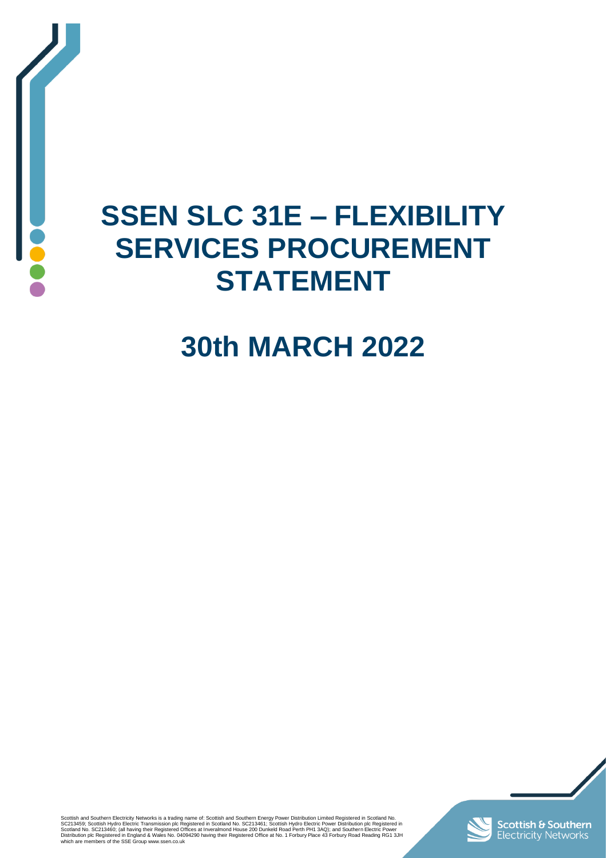

## **SSEN SLC 31E – FLEXIBILITY SERVICES PROCUREMENT STATEMENT**

# **30th MARCH 2022**

Scottish and Southern Electricity Networks is a trading name of: Scottish and Southern Energy Power Distribution Limited Registered in Scottand No.<br>SC213459; Scottish Hydro Electric Transmission plc Registered in Scotland



**Scottish & Southern**<br>Electricity Networks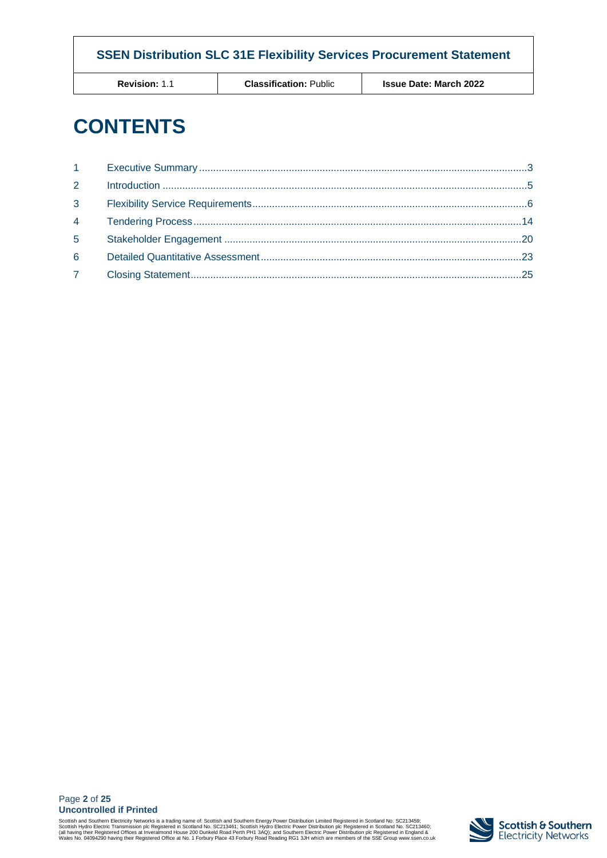**Revision:** 1.1 **Classification:** Public **Issue Date: March 2022**

## **CONTENTS**

| $1 \quad \blacksquare$ |  |
|------------------------|--|
| $2^{\circ}$            |  |
| $3^{\circ}$            |  |
| $4 \quad \blacksquare$ |  |
| 5 <sup>1</sup>         |  |
| 6                      |  |
| 7 <sup>7</sup>         |  |

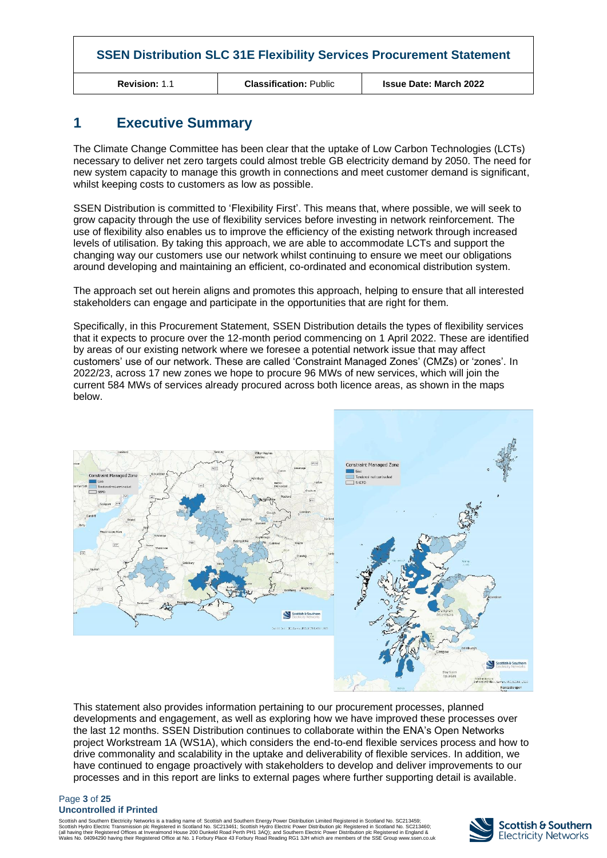**Revision:** 1.1 **Classification:** Public **Issue Date: March 2022**

## <span id="page-2-0"></span>**1 Executive Summary**

The Climate Change Committee has been clear that the uptake of Low Carbon Technologies (LCTs) necessary to deliver net zero targets could almost treble GB electricity demand by 2050. The need for new system capacity to manage this growth in connections and meet customer demand is significant, whilst keeping costs to customers as low as possible.

SSEN Distribution is committed to 'Flexibility First'. This means that, where possible, we will seek to grow capacity through the use of flexibility services before investing in network reinforcement. The use of flexibility also enables us to improve the efficiency of the existing network through increased levels of utilisation. By taking this approach, we are able to accommodate LCTs and support the changing way our customers use our network whilst continuing to ensure we meet our obligations around developing and maintaining an efficient, co-ordinated and economical distribution system.

The approach set out herein aligns and promotes this approach, helping to ensure that all interested stakeholders can engage and participate in the opportunities that are right for them.

Specifically, in this Procurement Statement, SSEN Distribution details the types of flexibility services that it expects to procure over the 12-month period commencing on 1 April 2022. These are identified by areas of our existing network where we foresee a potential network issue that may affect customers' use of our network. These are called 'Constraint Managed Zones' (CMZs) or 'zones'. In 2022/23, across 17 new zones we hope to procure 96 MWs of new services, which will join the current 584 MWs of services already procured across both licence areas, as shown in the maps below.



This statement also provides information pertaining to our procurement processes, planned developments and engagement, as well as exploring how we have improved these processes over the last 12 months. SSEN Distribution continues to collaborate within the ENA's Open Networks project Workstream 1A (WS1A), which considers the end-to-end flexible services process and how to drive commonality and scalability in the uptake and deliverability of flexible services. In addition, we have continued to engage proactively with stakeholders to develop and deliver improvements to our processes and in this report are links to external pages where further supporting detail is available.

#### Page **3** of **25 Uncontrolled if Printed**

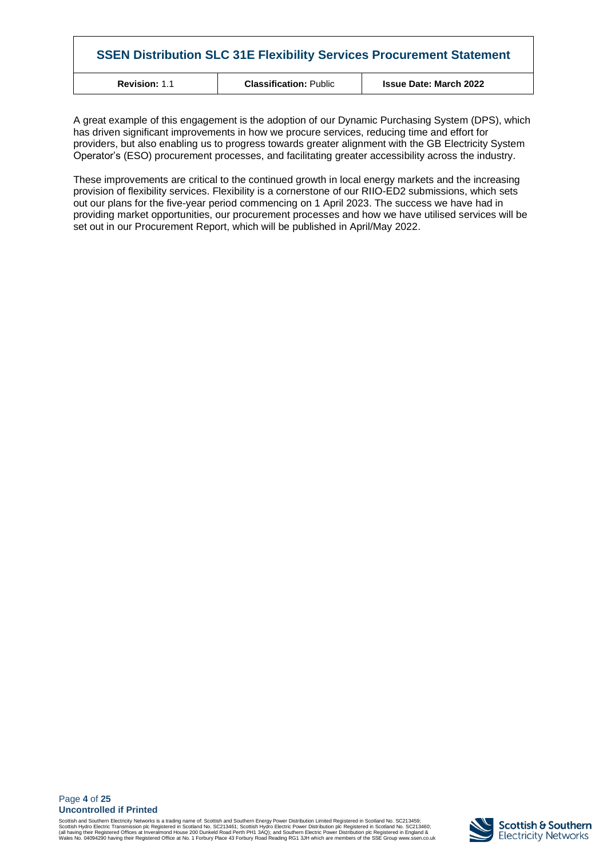| <b>SSEN Distribution SLC 31E Flexibility Services Procurement Statement</b> |                               |                               |  |  |  |  |  |
|-----------------------------------------------------------------------------|-------------------------------|-------------------------------|--|--|--|--|--|
| <b>Revision: 1.1</b>                                                        | <b>Classification: Public</b> | <b>Issue Date: March 2022</b> |  |  |  |  |  |

A great example of this engagement is the adoption of our Dynamic Purchasing System (DPS), which has driven significant improvements in how we procure services, reducing time and effort for providers, but also enabling us to progress towards greater alignment with the GB Electricity System Operator's (ESO) procurement processes, and facilitating greater accessibility across the industry.

These improvements are critical to the continued growth in local energy markets and the increasing provision of flexibility services. Flexibility is a cornerstone of our RIIO-ED2 submissions, which sets out our plans for the five-year period commencing on 1 April 2023. The success we have had in providing market opportunities, our procurement processes and how we have utilised services will be set out in our Procurement Report, which will be published in April/May 2022.

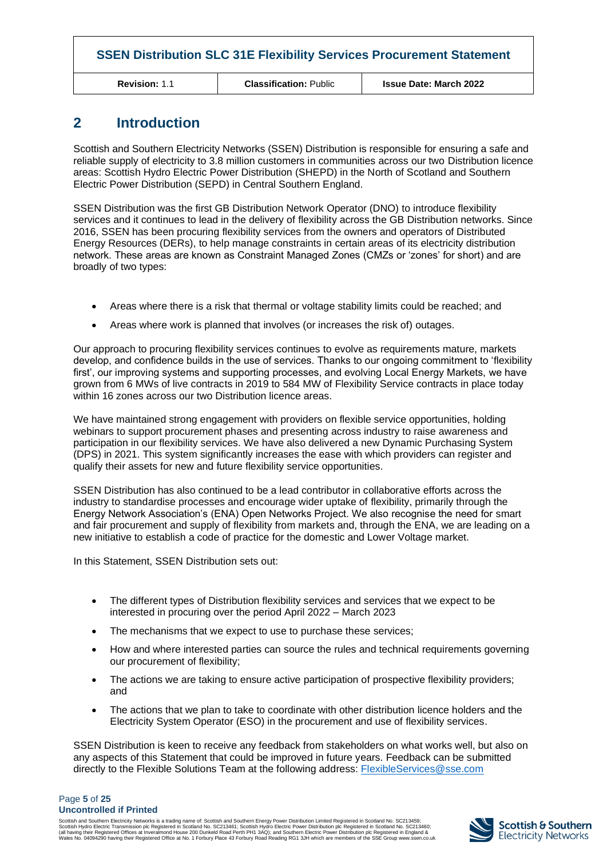| <b>?evision:</b> 1.1 |  |  |  |
|----------------------|--|--|--|
|                      |  |  |  |

**Revision:** 1.1 **Classification:** Public **Issue Date: March 2022**

## <span id="page-4-0"></span>**2 Introduction**

Scottish and Southern Electricity Networks (SSEN) Distribution is responsible for ensuring a safe and reliable supply of electricity to 3.8 million customers in communities across our two Distribution licence areas: Scottish Hydro Electric Power Distribution (SHEPD) in the North of Scotland and Southern Electric Power Distribution (SEPD) in Central Southern England.

SSEN Distribution was the first GB Distribution Network Operator (DNO) to introduce flexibility services and it continues to lead in the delivery of flexibility across the GB Distribution networks. Since 2016, SSEN has been procuring flexibility services from the owners and operators of Distributed Energy Resources (DERs), to help manage constraints in certain areas of its electricity distribution network. These areas are known as Constraint Managed Zones (CMZs or 'zones' for short) and are broadly of two types:

- Areas where there is a risk that thermal or voltage stability limits could be reached; and
- Areas where work is planned that involves (or increases the risk of) outages.

Our approach to procuring flexibility services continues to evolve as requirements mature, markets develop, and confidence builds in the use of services. Thanks to our ongoing commitment to 'flexibility first', our improving systems and supporting processes, and evolving Local Energy Markets, we have grown from 6 MWs of live contracts in 2019 to 584 MW of Flexibility Service contracts in place today within 16 zones across our two Distribution licence areas.

We have maintained strong engagement with providers on flexible service opportunities, holding webinars to support procurement phases and presenting across industry to raise awareness and participation in our flexibility services. We have also delivered a new Dynamic Purchasing System (DPS) in 2021. This system significantly increases the ease with which providers can register and qualify their assets for new and future flexibility service opportunities.

SSEN Distribution has also continued to be a lead contributor in collaborative efforts across the industry to standardise processes and encourage wider uptake of flexibility, primarily through the Energy Network Association's (ENA) Open Networks Project. We also recognise the need for smart and fair procurement and supply of flexibility from markets and, through the ENA, we are leading on a new initiative to establish a code of practice for the domestic and Lower Voltage market.

In this Statement, SSEN Distribution sets out:

- The different types of Distribution flexibility services and services that we expect to be interested in procuring over the period April 2022 – March 2023
- The mechanisms that we expect to use to purchase these services;
- How and where interested parties can source the rules and technical requirements governing our procurement of flexibility;
- The actions we are taking to ensure active participation of prospective flexibility providers; and
- The actions that we plan to take to coordinate with other distribution licence holders and the Electricity System Operator (ESO) in the procurement and use of flexibility services.

SSEN Distribution is keen to receive any feedback from stakeholders on what works well, but also on any aspects of this Statement that could be improved in future years. Feedback can be submitted directly to the Flexible Solutions Team at the following address: [FlexibleServices@sse.com](mailto:FlexibleServices@sse.com)

#### Page **5** of **25 Uncontrolled if Printed**

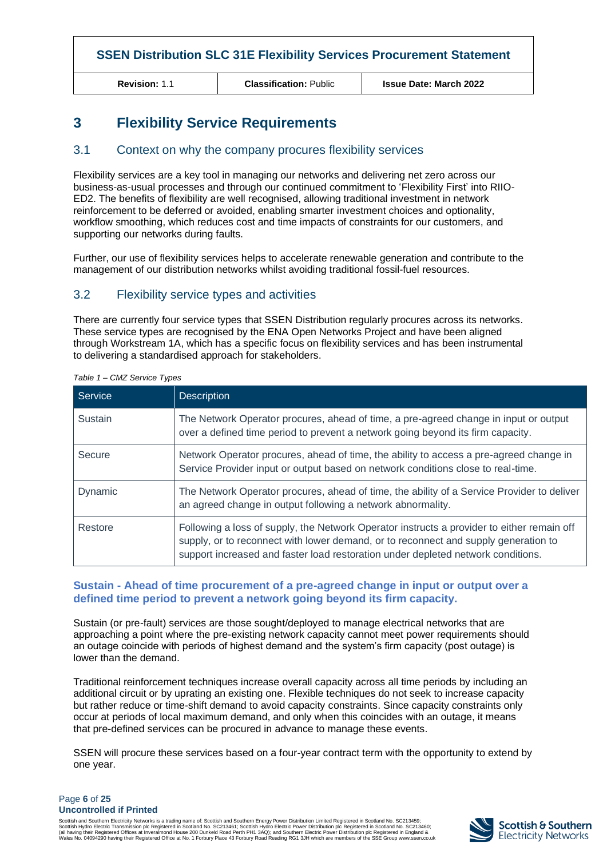**Revision:** 1.1 **Classification:** Public **Issue Date: March 2022**

## <span id="page-5-0"></span>**3 Flexibility Service Requirements**

#### 3.1 Context on why the company procures flexibility services

Flexibility services are a key tool in managing our networks and delivering net zero across our business-as-usual processes and through our continued commitment to 'Flexibility First' into RIIO-ED2. The benefits of flexibility are well recognised, allowing traditional investment in network reinforcement to be deferred or avoided, enabling smarter investment choices and optionality, workflow smoothing, which reduces cost and time impacts of constraints for our customers, and supporting our networks during faults.

Further, our use of flexibility services helps to accelerate renewable generation and contribute to the management of our distribution networks whilst avoiding traditional fossil-fuel resources.

#### 3.2 Flexibility service types and activities

There are currently four service types that SSEN Distribution regularly procures across its networks. These service types are recognised by the ENA Open Networks Project and have been aligned through Workstream 1A, which has a specific focus on flexibility services and has been instrumental to delivering a standardised approach for stakeholders.

| Service | <b>Description</b>                                                                                                                                                                                                                                                    |
|---------|-----------------------------------------------------------------------------------------------------------------------------------------------------------------------------------------------------------------------------------------------------------------------|
| Sustain | The Network Operator procures, ahead of time, a pre-agreed change in input or output<br>over a defined time period to prevent a network going beyond its firm capacity.                                                                                               |
| Secure  | Network Operator procures, ahead of time, the ability to access a pre-agreed change in<br>Service Provider input or output based on network conditions close to real-time.                                                                                            |
| Dynamic | The Network Operator procures, ahead of time, the ability of a Service Provider to deliver<br>an agreed change in output following a network abnormality.                                                                                                             |
| Restore | Following a loss of supply, the Network Operator instructs a provider to either remain off<br>supply, or to reconnect with lower demand, or to reconnect and supply generation to<br>support increased and faster load restoration under depleted network conditions. |

*Table 1 – CMZ Service Types*

#### **Sustain - Ahead of time procurement of a pre-agreed change in input or output over a defined time period to prevent a network going beyond its firm capacity.**

Sustain (or pre-fault) services are those sought/deployed to manage electrical networks that are approaching a point where the pre-existing network capacity cannot meet power requirements should an outage coincide with periods of highest demand and the system's firm capacity (post outage) is lower than the demand.

Traditional reinforcement techniques increase overall capacity across all time periods by including an additional circuit or by uprating an existing one. Flexible techniques do not seek to increase capacity but rather reduce or time-shift demand to avoid capacity constraints. Since capacity constraints only occur at periods of local maximum demand, and only when this coincides with an outage, it means that pre-defined services can be procured in advance to manage these events.

SSEN will procure these services based on a four-year contract term with the opportunity to extend by one year.

#### Page **6** of **25 Uncontrolled if Printed**

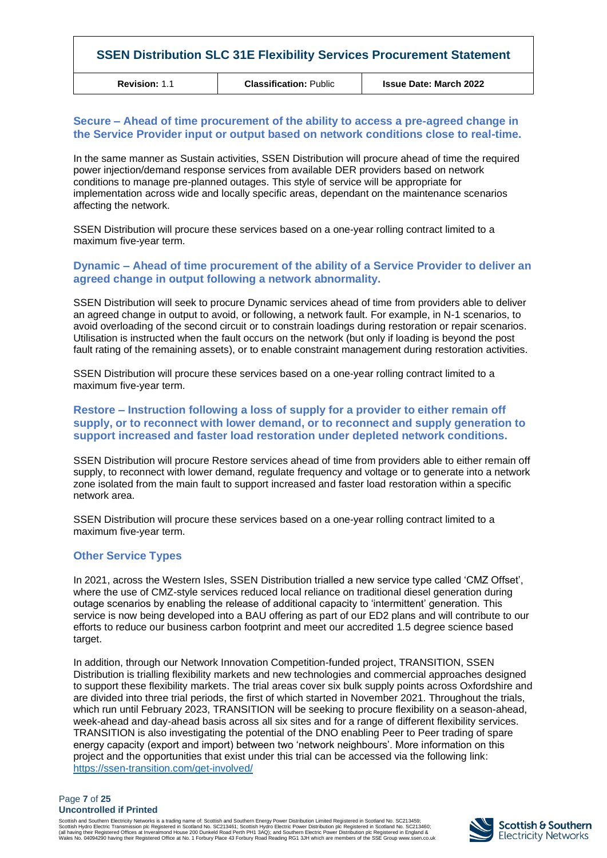**Revision:** 1.1 **Classification:** Public **Issue Date: March 2022**

#### **Secure – Ahead of time procurement of the ability to access a pre-agreed change in the Service Provider input or output based on network conditions close to real-time.**

In the same manner as Sustain activities, SSEN Distribution will procure ahead of time the required power injection/demand response services from available DER providers based on network conditions to manage pre-planned outages. This style of service will be appropriate for implementation across wide and locally specific areas, dependant on the maintenance scenarios affecting the network.

SSEN Distribution will procure these services based on a one-year rolling contract limited to a maximum five-year term.

#### **Dynamic – Ahead of time procurement of the ability of a Service Provider to deliver an agreed change in output following a network abnormality.**

SSEN Distribution will seek to procure Dynamic services ahead of time from providers able to deliver an agreed change in output to avoid, or following, a network fault. For example, in N-1 scenarios, to avoid overloading of the second circuit or to constrain loadings during restoration or repair scenarios. Utilisation is instructed when the fault occurs on the network (but only if loading is beyond the post fault rating of the remaining assets), or to enable constraint management during restoration activities.

SSEN Distribution will procure these services based on a one-year rolling contract limited to a maximum five-year term.

#### **Restore – Instruction following a loss of supply for a provider to either remain off supply, or to reconnect with lower demand, or to reconnect and supply generation to support increased and faster load restoration under depleted network conditions.**

SSEN Distribution will procure Restore services ahead of time from providers able to either remain off supply, to reconnect with lower demand, regulate frequency and voltage or to generate into a network zone isolated from the main fault to support increased and faster load restoration within a specific network area.

SSEN Distribution will procure these services based on a one-year rolling contract limited to a maximum five-year term.

#### **Other Service Types**

In 2021, across the Western Isles, SSEN Distribution trialled a new service type called 'CMZ Offset', where the use of CMZ-style services reduced local reliance on traditional diesel generation during outage scenarios by enabling the release of additional capacity to 'intermittent' generation. This service is now being developed into a BAU offering as part of our ED2 plans and will contribute to our efforts to reduce our business carbon footprint and meet our accredited 1.5 degree science based target.

In addition, through our Network Innovation Competition-funded project, TRANSITION, SSEN Distribution is trialling flexibility markets and new technologies and commercial approaches designed to support these flexibility markets. The trial areas cover six bulk supply points across Oxfordshire and are divided into three trial periods, the first of which started in November 2021. Throughout the trials, which run until February 2023, TRANSITION will be seeking to procure flexibility on a season-ahead, week-ahead and day-ahead basis across all six sites and for a range of different flexibility services. TRANSITION is also investigating the potential of the DNO enabling Peer to Peer trading of spare energy capacity (export and import) between two 'network neighbours'. More information on this project and the opportunities that exist under this trial can be accessed via the following link: <https://ssen-transition.com/get-involved/>

#### Page **7** of **25 Uncontrolled if Printed**

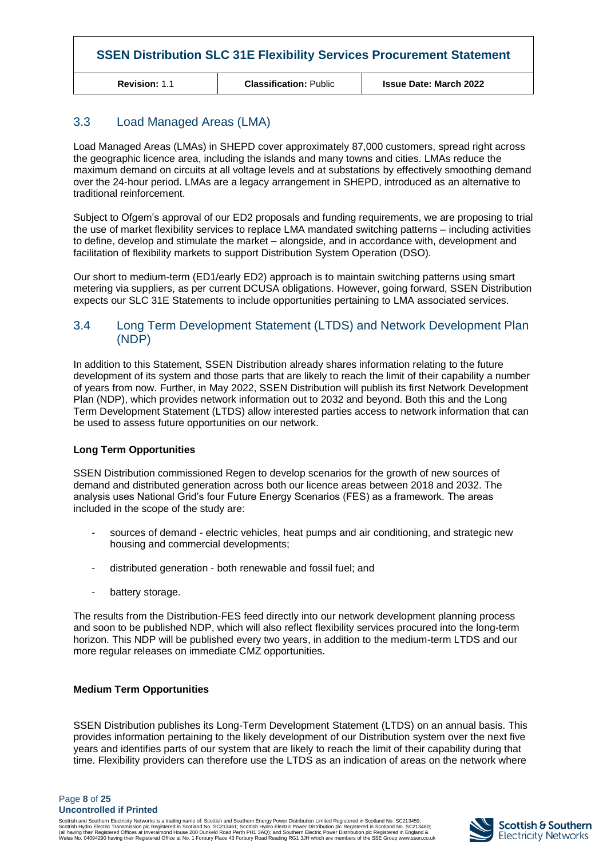**Revision:** 1.1 **Classification:** Public **Issue Date: March 2022**

## 3.3 Load Managed Areas (LMA)

Load Managed Areas (LMAs) in SHEPD cover approximately 87,000 customers, spread right across the geographic licence area, including the islands and many towns and cities. LMAs reduce the maximum demand on circuits at all voltage levels and at substations by effectively smoothing demand over the 24-hour period. LMAs are a legacy arrangement in SHEPD, introduced as an alternative to traditional reinforcement.

Subject to Ofgem's approval of our ED2 proposals and funding requirements, we are proposing to trial the use of market flexibility services to replace LMA mandated switching patterns – including activities to define, develop and stimulate the market – alongside, and in accordance with, development and facilitation of flexibility markets to support Distribution System Operation (DSO).

Our short to medium-term (ED1/early ED2) approach is to maintain switching patterns using smart metering via suppliers, as per current DCUSA obligations. However, going forward, SSEN Distribution expects our SLC 31E Statements to include opportunities pertaining to LMA associated services.

#### 3.4 Long Term Development Statement (LTDS) and Network Development Plan (NDP)

In addition to this Statement, SSEN Distribution already shares information relating to the future development of its system and those parts that are likely to reach the limit of their capability a number of years from now. Further, in May 2022, SSEN Distribution will publish its first Network Development Plan (NDP), which provides network information out to 2032 and beyond. Both this and the Long Term Development Statement (LTDS) allow interested parties access to network information that can be used to assess future opportunities on our network.

#### **Long Term Opportunities**

SSEN Distribution commissioned Regen to develop scenarios for the growth of new sources of demand and distributed generation across both our licence areas between 2018 and 2032. The analysis uses National Grid's four Future Energy Scenarios (FES) as a framework. The areas included in the scope of the study are:

- sources of demand electric vehicles, heat pumps and air conditioning, and strategic new housing and commercial developments;
- distributed generation both renewable and fossil fuel; and
- battery storage.

The results from the Distribution-FES feed directly into our network development planning process and soon to be published NDP, which will also reflect flexibility services procured into the long-term horizon. This NDP will be published every two years, in addition to the medium-term LTDS and our more regular releases on immediate CMZ opportunities.

#### **Medium Term Opportunities**

SSEN Distribution publishes its Long-Term Development Statement (LTDS) on an annual basis. This provides information pertaining to the likely development of our Distribution system over the next five years and identifies parts of our system that are likely to reach the limit of their capability during that time. Flexibility providers can therefore use the LTDS as an indication of areas on the network where

Page **8** of **25 Uncontrolled if Printed**

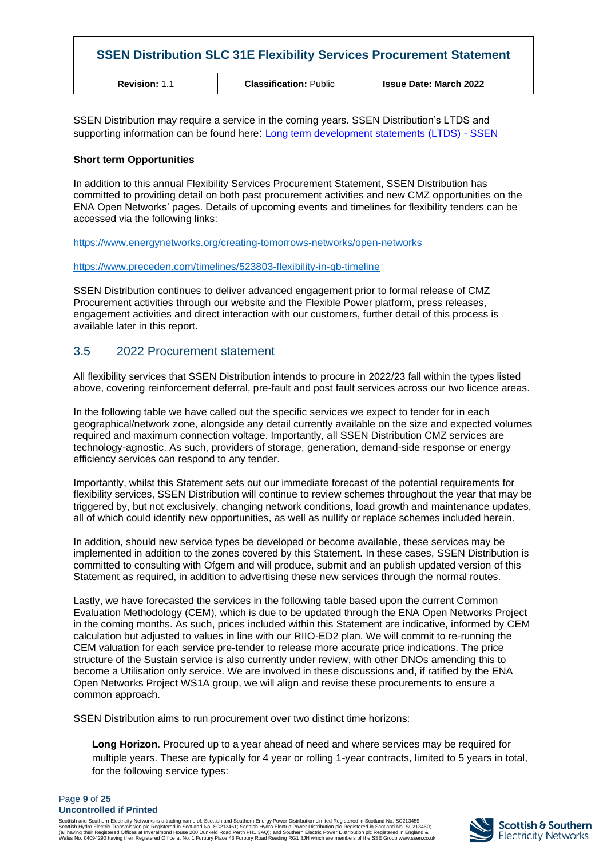| <b>SSEN Distribution SLC 31E Flexibility Services Procurement Statement</b> |                               |                               |  |  |  |  |  |
|-----------------------------------------------------------------------------|-------------------------------|-------------------------------|--|--|--|--|--|
| <b>Revision: 1.1</b>                                                        | <b>Classification: Public</b> | <b>Issue Date: March 2022</b> |  |  |  |  |  |

SSEN Distribution may require a service in the coming years. SSEN Distribution's LTDS and supporting information can be found here: [Long term development statements \(LTDS\) -](https://www.ssen.co.uk/our-services/tools-and-maps/long-term-development-statements-ltds/) SSEN

#### **Short term Opportunities**

In addition to this annual Flexibility Services Procurement Statement, SSEN Distribution has committed to providing detail on both past procurement activities and new CMZ opportunities on the ENA Open Networks' pages. Details of upcoming events and timelines for flexibility tenders can be accessed via the following links:

<https://www.energynetworks.org/creating-tomorrows-networks/open-networks>

<https://www.preceden.com/timelines/523803-flexibility-in-gb-timeline>

SSEN Distribution continues to deliver advanced engagement prior to formal release of CMZ Procurement activities through our website and the Flexible Power platform, press releases, engagement activities and direct interaction with our customers, further detail of this process is available later in this report.

## 3.5 2022 Procurement statement

All flexibility services that SSEN Distribution intends to procure in 2022/23 fall within the types listed above, covering reinforcement deferral, pre-fault and post fault services across our two licence areas.

In the following table we have called out the specific services we expect to tender for in each geographical/network zone, alongside any detail currently available on the size and expected volumes required and maximum connection voltage. Importantly, all SSEN Distribution CMZ services are technology-agnostic. As such, providers of storage, generation, demand-side response or energy efficiency services can respond to any tender.

Importantly, whilst this Statement sets out our immediate forecast of the potential requirements for flexibility services, SSEN Distribution will continue to review schemes throughout the year that may be triggered by, but not exclusively, changing network conditions, load growth and maintenance updates, all of which could identify new opportunities, as well as nullify or replace schemes included herein.

In addition, should new service types be developed or become available, these services may be implemented in addition to the zones covered by this Statement. In these cases, SSEN Distribution is committed to consulting with Ofgem and will produce, submit and an publish updated version of this Statement as required, in addition to advertising these new services through the normal routes.

Lastly, we have forecasted the services in the following table based upon the current Common Evaluation Methodology (CEM), which is due to be updated through the ENA Open Networks Project in the coming months. As such, prices included within this Statement are indicative, informed by CEM calculation but adjusted to values in line with our RIIO-ED2 plan. We will commit to re-running the CEM valuation for each service pre-tender to release more accurate price indications. The price structure of the Sustain service is also currently under review, with other DNOs amending this to become a Utilisation only service. We are involved in these discussions and, if ratified by the ENA Open Networks Project WS1A group, we will align and revise these procurements to ensure a common approach.

SSEN Distribution aims to run procurement over two distinct time horizons:

**Long Horizon**. Procured up to a year ahead of need and where services may be required for multiple years. These are typically for 4 year or rolling 1-year contracts, limited to 5 years in total, for the following service types:

#### Page **9** of **25 Uncontrolled if Printed**

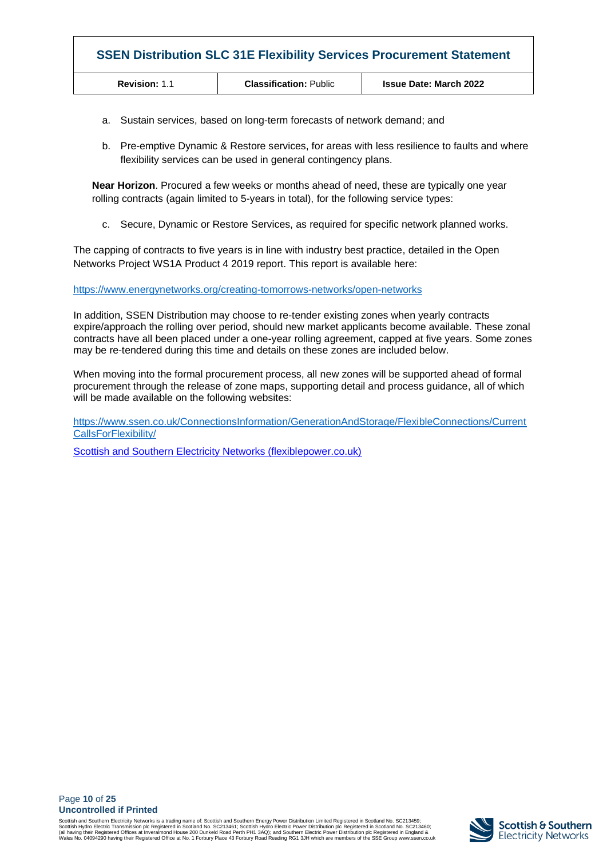| <b>SSEN Distribution SLC 31E Flexibility Services Procurement Statement</b> |                               |                               |  |  |  |  |  |  |
|-----------------------------------------------------------------------------|-------------------------------|-------------------------------|--|--|--|--|--|--|
| <b>Revision: 1.1</b>                                                        | <b>Classification: Public</b> | <b>Issue Date: March 2022</b> |  |  |  |  |  |  |

- a. Sustain services, based on long-term forecasts of network demand; and
- b. Pre-emptive Dynamic & Restore services, for areas with less resilience to faults and where flexibility services can be used in general contingency plans.

**Near Horizon**. Procured a few weeks or months ahead of need, these are typically one year rolling contracts (again limited to 5-years in total), for the following service types:

c. Secure, Dynamic or Restore Services, as required for specific network planned works.

The capping of contracts to five years is in line with industry best practice, detailed in the Open Networks Project WS1A Product 4 2019 report. This report is available here:

<https://www.energynetworks.org/creating-tomorrows-networks/open-networks>

In addition, SSEN Distribution may choose to re-tender existing zones when yearly contracts expire/approach the rolling over period, should new market applicants become available. These zonal contracts have all been placed under a one-year rolling agreement, capped at five years. Some zones may be re-tendered during this time and details on these zones are included below.

When moving into the formal procurement process, all new zones will be supported ahead of formal procurement through the release of zone maps, supporting detail and process guidance, all of which will be made available on the following websites:

[https://www.ssen.co.uk/ConnectionsInformation/GenerationAndStorage/FlexibleConnections/Current](https://www.ssen.co.uk/ConnectionsInformation/GenerationAndStorage/FlexibleConnections/CurrentCallsForFlexibility/) [CallsForFlexibility/](https://www.ssen.co.uk/ConnectionsInformation/GenerationAndStorage/FlexibleConnections/CurrentCallsForFlexibility/)

[Scottish and Southern Electricity Networks \(flexiblepower.co.uk\)](https://www.flexiblepower.co.uk/scottish-and-southern-electricity-networks)

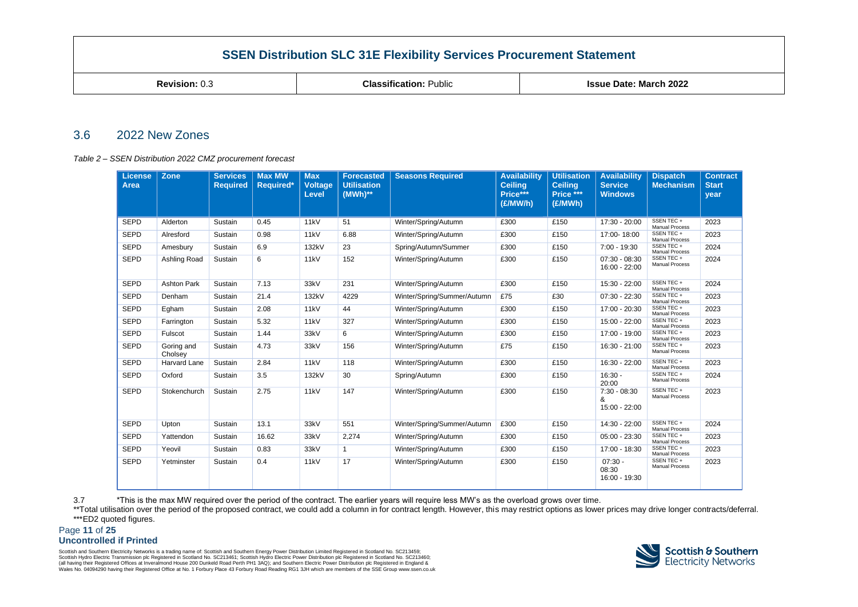**Revision:** 0.3 **Classification:** Public **Issue Date: March 2022**

#### 3.6 2022 New Zones

#### *Table 2 – SSEN Distribution 2022 CMZ procurement forecast*

| <b>License</b><br>Area | Zone                  | <b>Services</b><br><b>Required</b> | <b>Max MW</b><br>Required* | <b>Max</b><br><b>Voltage</b><br>Level | <b>Forecasted</b><br><b>Utilisation</b><br>$(MWh)**$ | <b>Seasons Required</b>     | <b>Availability</b><br><b>Ceiling</b><br>Price***<br>(E/MW/h) | <b>Utilisation</b><br><b>Ceiling</b><br>Price ***<br>(£/MWh) | <b>Availability</b><br><b>Service</b><br><b>Windows</b> | <b>Dispatch</b><br><b>Mechanism</b> | <b>Contract</b><br><b>Start</b><br>year |
|------------------------|-----------------------|------------------------------------|----------------------------|---------------------------------------|------------------------------------------------------|-----------------------------|---------------------------------------------------------------|--------------------------------------------------------------|---------------------------------------------------------|-------------------------------------|-----------------------------------------|
|                        |                       |                                    |                            |                                       |                                                      |                             |                                                               |                                                              |                                                         |                                     |                                         |
| <b>SEPD</b>            | Alderton              | Sustain                            | 0.45                       | 11kV                                  | 51                                                   | Winter/Spring/Autumn        | £300                                                          | £150                                                         | 17:30 - 20:00                                           | SSEN TEC +<br><b>Manual Process</b> | 2023                                    |
| <b>SEPD</b>            | Alresford             | Sustain                            | 0.98                       | 11kV                                  | 6.88                                                 | Winter/Spring/Autumn        | £300                                                          | £150                                                         | 17:00-18:00                                             | SSEN TEC +<br><b>Manual Process</b> | 2023                                    |
| <b>SEPD</b>            | Amesbury              | Sustain                            | 6.9                        | 132kV                                 | 23                                                   | Spring/Autumn/Summer        | £300                                                          | £150                                                         | 7:00 - 19:30                                            | SSEN TEC +<br><b>Manual Process</b> | 2024                                    |
| <b>SEPD</b>            | Ashling Road          | Sustain                            | 6                          | 11kV                                  | 152                                                  | Winter/Spring/Autumn        | £300                                                          | £150                                                         | $07:30 - 08:30$<br>16:00 - 22:00                        | SSEN TEC +<br><b>Manual Process</b> | 2024                                    |
| <b>SEPD</b>            | <b>Ashton Park</b>    | Sustain                            | 7.13                       | 33kV                                  | 231                                                  | Winter/Spring/Autumn        | £300                                                          | £150                                                         | 15:30 - 22:00                                           | SSEN TEC +<br><b>Manual Process</b> | 2024                                    |
| <b>SEPD</b>            | Denham                | Sustain                            | 21.4                       | 132kV                                 | 4229                                                 | Winter/Spring/Summer/Autumn | £75                                                           | £30                                                          | $07:30 - 22:30$                                         | SSEN TEC +<br><b>Manual Process</b> | 2023                                    |
| <b>SEPD</b>            | Egham                 | Sustain                            | 2.08                       | 11kV                                  | 44                                                   | Winter/Spring/Autumn        | £300                                                          | £150                                                         | 17:00 - 20:30                                           | SSEN TEC +<br><b>Manual Process</b> | 2023                                    |
| <b>SEPD</b>            | Farrington            | Sustain                            | 5.32                       | 11kV                                  | 327                                                  | Winter/Spring/Autumn        | £300                                                          | £150                                                         | 15:00 - 22:00                                           | SSEN TEC +<br><b>Manual Process</b> | 2023                                    |
| <b>SEPD</b>            | Fulscot               | Sustain                            | 1.44                       | 33kV                                  | 6                                                    | Winter/Spring/Autumn        | £300                                                          | £150                                                         | 17:00 - 19:00                                           | SSEN TEC +<br><b>Manual Process</b> | 2023                                    |
| <b>SEPD</b>            | Goring and<br>Cholsey | Sustain                            | 4.73                       | 33kV                                  | 156                                                  | Winter/Spring/Autumn        | £75                                                           | £150                                                         | 16:30 - 21:00                                           | SSEN TEC +<br><b>Manual Process</b> | 2023                                    |
| <b>SEPD</b>            | Harvard Lane          | Sustain                            | 2.84                       | 11kV                                  | 118                                                  | Winter/Spring/Autumn        | £300                                                          | £150                                                         | 16:30 - 22:00                                           | SSEN TEC +<br><b>Manual Process</b> | 2023                                    |
| <b>SEPD</b>            | Oxford                | Sustain                            | 3.5                        | 132kV                                 | 30                                                   | Spring/Autumn               | £300                                                          | £150                                                         | $16:30 -$<br>20:00                                      | SSEN TEC +<br><b>Manual Process</b> | 2024                                    |
| <b>SEPD</b>            | Stokenchurch          | Sustain                            | 2.75                       | 11kV                                  | 147                                                  | Winter/Spring/Autumn        | £300                                                          | £150                                                         | $7:30 - 08:30$<br>&<br>15:00 - 22:00                    | SSEN TEC +<br><b>Manual Process</b> | 2023                                    |
| <b>SEPD</b>            | Upton                 | Sustain                            | 13.1                       | 33kV                                  | 551                                                  | Winter/Spring/Summer/Autumn | £300                                                          | £150                                                         | 14:30 - 22:00                                           | SSEN TEC +<br><b>Manual Process</b> | 2024                                    |
| <b>SEPD</b>            | Yattendon             | Sustain                            | 16.62                      | 33kV                                  | 2,274                                                | Winter/Spring/Autumn        | £300                                                          | £150                                                         | $05:00 - 23:30$                                         | SSEN TEC +<br><b>Manual Process</b> | 2023                                    |
| <b>SEPD</b>            | Yeovil                | Sustain                            | 0.83                       | 33kV                                  | $\mathbf{1}$                                         | Winter/Spring/Autumn        | £300                                                          | £150                                                         | 17:00 - 18:30                                           | SSEN TEC +<br><b>Manual Process</b> | 2023                                    |
| <b>SEPD</b>            | Yetminster            | Sustain                            | 0.4                        | 11 <sub>kV</sub>                      | 17                                                   | Winter/Spring/Autumn        | £300                                                          | £150                                                         | $07:30 -$<br>08:30<br>16:00 - 19:30                     | SSEN TEC +<br><b>Manual Process</b> | 2023                                    |

3.7 \*This is the max MW required over the period of the contract. The earlier years will require less MW's as the overload grows over time.

\*\*Total utilisation over the period of the proposed contract, we could add a column in for contract length. However, this may restrict options as lower prices may drive longer contracts/deferral. \*\*\*ED2 quoted figures.

Page **11** of **25**

#### **Uncontrolled if Printed**

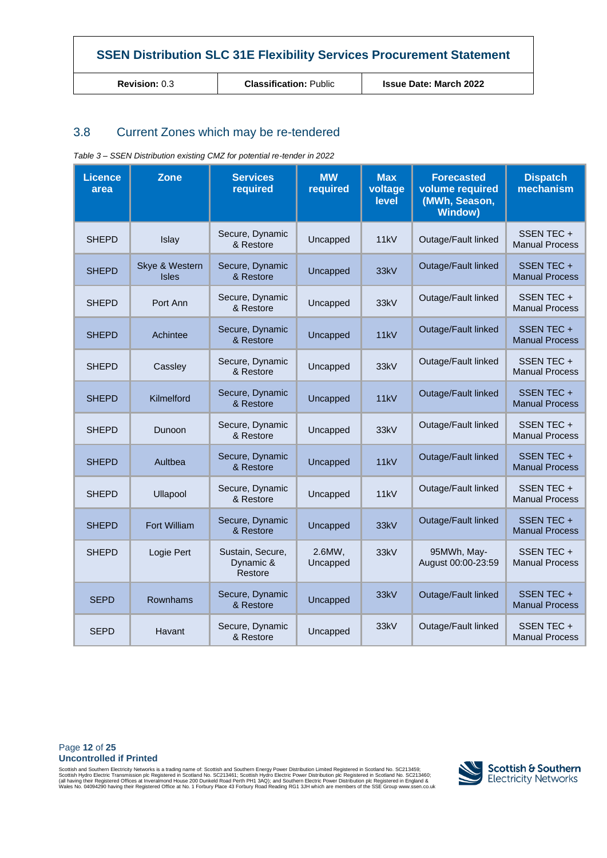**Revision:** 0.3 **Classification:** Public **Issue Date: March 2022**

## 3.8 Current Zones which may be re-tendered

| <b>Licence</b><br>area | <b>Zone</b>                    | <b>Services</b><br>required              | <b>MW</b><br>required | <b>Max</b><br>voltage<br>level | <b>Forecasted</b><br>volume required<br>(MWh, Season,<br><b>Window)</b> | <b>Dispatch</b><br>mechanism        |
|------------------------|--------------------------------|------------------------------------------|-----------------------|--------------------------------|-------------------------------------------------------------------------|-------------------------------------|
| <b>SHEPD</b>           | Islay                          | Secure, Dynamic<br>& Restore             | Uncapped              | 11kV                           | Outage/Fault linked                                                     | SSEN TEC +<br><b>Manual Process</b> |
| <b>SHEPD</b>           | Skye & Western<br><b>Isles</b> | Secure, Dynamic<br>& Restore             | Uncapped              | 33kV                           | Outage/Fault linked                                                     | SSEN TEC +<br><b>Manual Process</b> |
| SHEPD                  | Port Ann                       | Secure, Dynamic<br>& Restore             | Uncapped              | 33kV                           | Outage/Fault linked                                                     | SSEN TEC +<br><b>Manual Process</b> |
| <b>SHEPD</b>           | Achintee                       | Secure, Dynamic<br>& Restore             | Uncapped              | 11kV                           | Outage/Fault linked                                                     | SSEN TEC +<br><b>Manual Process</b> |
| <b>SHEPD</b>           | Cassley                        | Secure, Dynamic<br>& Restore             | Uncapped              | 33kV                           | Outage/Fault linked                                                     | SSEN TEC +<br><b>Manual Process</b> |
| <b>SHEPD</b>           | Kilmelford                     | Secure, Dynamic<br>& Restore             | Uncapped              | 11kV                           | Outage/Fault linked                                                     | SSEN TEC +<br><b>Manual Process</b> |
| <b>SHEPD</b>           | Dunoon                         | Secure, Dynamic<br>& Restore             | Uncapped              | 33kV                           | Outage/Fault linked                                                     | SSEN TEC +<br><b>Manual Process</b> |
| <b>SHEPD</b>           | Aultbea                        | Secure, Dynamic<br>& Restore             | Uncapped              | 11kV                           | Outage/Fault linked                                                     | SSEN TEC +<br><b>Manual Process</b> |
| <b>SHEPD</b>           | Ullapool                       | Secure, Dynamic<br>& Restore             | Uncapped              | 11kV                           | Outage/Fault linked                                                     | SSEN TEC +<br><b>Manual Process</b> |
| <b>SHEPD</b>           | Fort William                   | Secure, Dynamic<br>& Restore             | Uncapped              | 33kV                           | Outage/Fault linked                                                     | SSEN TEC +<br><b>Manual Process</b> |
| <b>SHEPD</b>           | Logie Pert                     | Sustain, Secure,<br>Dynamic &<br>Restore | 2.6MW,<br>Uncapped    | 33kV                           | 95MWh, May-<br>August 00:00-23:59                                       | SSEN TEC +<br><b>Manual Process</b> |
| <b>SEPD</b>            | Rownhams                       | Secure, Dynamic<br>& Restore             | Uncapped              | 33kV                           | Outage/Fault linked                                                     | SSEN TEC +<br><b>Manual Process</b> |
| <b>SEPD</b>            | Havant                         | Secure, Dynamic<br>& Restore             | Uncapped              | 33kV                           | Outage/Fault linked                                                     | SSEN TEC +<br><b>Manual Process</b> |

*Table 3 – SSEN Distribution existing CMZ for potential re-tender in 2022*

#### Page **12** of **25 Uncontrolled if Printed**

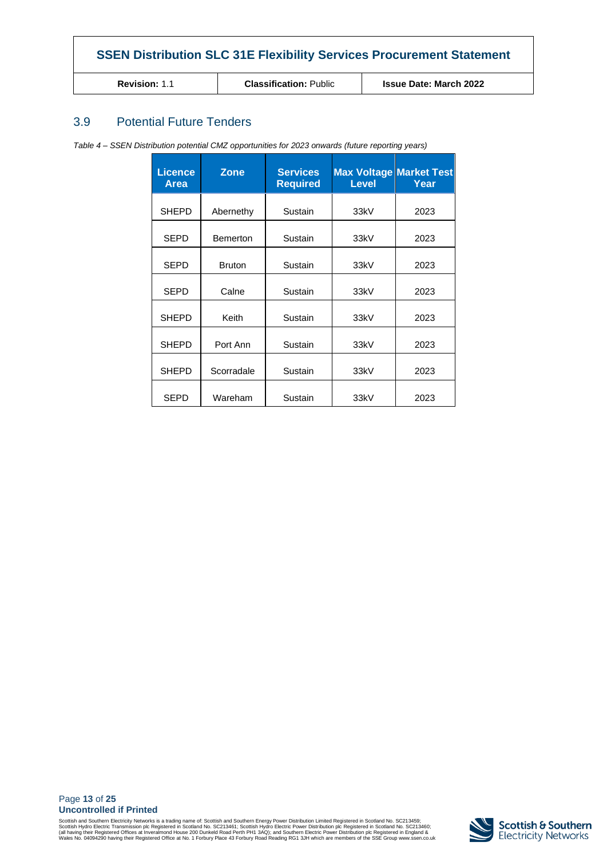| <b>SSEN Distribution SLC 31E Flexibility Services Procurement Statement</b> |                               |  |  |  |  |  |  |  |
|-----------------------------------------------------------------------------|-------------------------------|--|--|--|--|--|--|--|
| <b>Revision: 1.1</b>                                                        | <b>Issue Date: March 2022</b> |  |  |  |  |  |  |  |

## 3.9 Potential Future Tenders

*Table 4 – SSEN Distribution potential CMZ opportunities for 2023 onwards (future reporting years)*

<span id="page-12-0"></span>

| <b>Licence</b><br>Area | <b>Zone</b>                | <b>Services</b><br><b>Required</b> | <b>Max Voltage Market Test</b><br><b>Level</b> | Year |
|------------------------|----------------------------|------------------------------------|------------------------------------------------|------|
| <b>SHEPD</b>           | Abernethy                  | Sustain                            | 33kV                                           | 2023 |
| <b>SEPD</b>            | Sustain<br><b>Bemerton</b> |                                    | 33kV                                           | 2023 |
| <b>SEPD</b>            | <b>Bruton</b>              | Sustain                            | 33kV                                           | 2023 |
| <b>SEPD</b>            | Calne                      | Sustain                            | 33kV                                           | 2023 |
| <b>SHEPD</b>           | Keith                      | Sustain                            | 33kV                                           | 2023 |
| <b>SHEPD</b>           | Port Ann                   | Sustain                            | 33kV                                           | 2023 |
| <b>SHEPD</b>           | Scorradale<br>Sustain      |                                    | 33kV                                           | 2023 |
| <b>SEPD</b>            | Wareham                    | Sustain                            | 33kV                                           | 2023 |

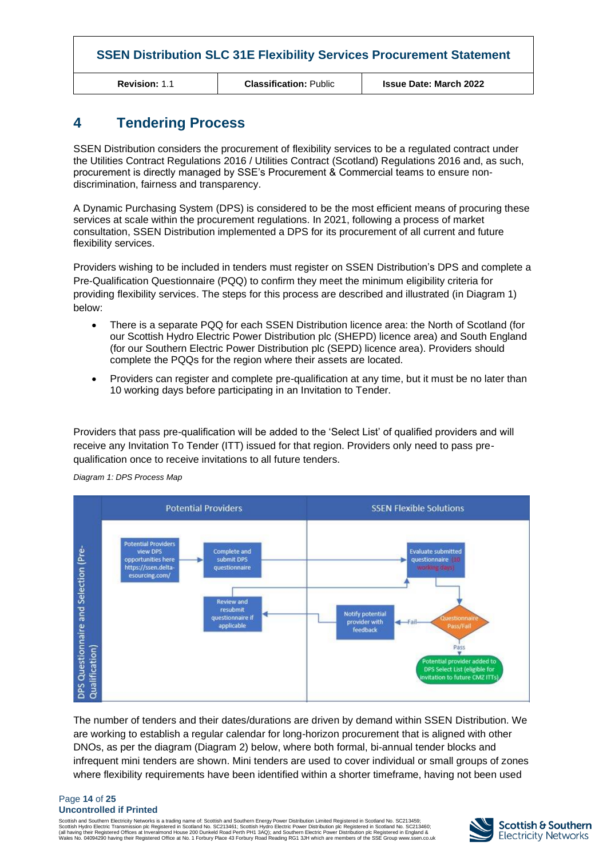**Revision:** 1.1 **Classification:** Public **Issue Date: March 2022**

## **4 Tendering Process**

SSEN Distribution considers the procurement of flexibility services to be a regulated contract under the Utilities Contract Regulations 2016 / Utilities Contract (Scotland) Regulations 2016 and, as such, procurement is directly managed by SSE's Procurement & Commercial teams to ensure nondiscrimination, fairness and transparency.

A Dynamic Purchasing System (DPS) is considered to be the most efficient means of procuring these services at scale within the procurement regulations. In 2021, following a process of market consultation, SSEN Distribution implemented a DPS for its procurement of all current and future flexibility services.

Providers wishing to be included in tenders must register on SSEN Distribution's DPS and complete a Pre-Qualification Questionnaire (PQQ) to confirm they meet the minimum eligibility criteria for providing flexibility services. The steps for this process are described and illustrated (in Diagram 1) below:

- There is a separate PQQ for each SSEN Distribution licence area: the North of Scotland (for our Scottish Hydro Electric Power Distribution plc (SHEPD) licence area) and South England (for our Southern Electric Power Distribution plc (SEPD) licence area). Providers should complete the PQQs for the region where their assets are located.
- Providers can register and complete pre-qualification at any time, but it must be no later than 10 working days before participating in an Invitation to Tender.

Providers that pass pre-qualification will be added to the 'Select List' of qualified providers and will receive any Invitation To Tender (ITT) issued for that region. Providers only need to pass prequalification once to receive invitations to all future tenders.



*Diagram 1: DPS Process Map*

The number of tenders and their dates/durations are driven by demand within SSEN Distribution. We are working to establish a regular calendar for long-horizon procurement that is aligned with other DNOs, as per the diagram (Diagram 2) below, where both formal, bi-annual tender blocks and infrequent mini tenders are shown. Mini tenders are used to cover individual or small groups of zones where flexibility requirements have been identified within a shorter timeframe, having not been used

#### Page **14** of **25 Uncontrolled if Printed**

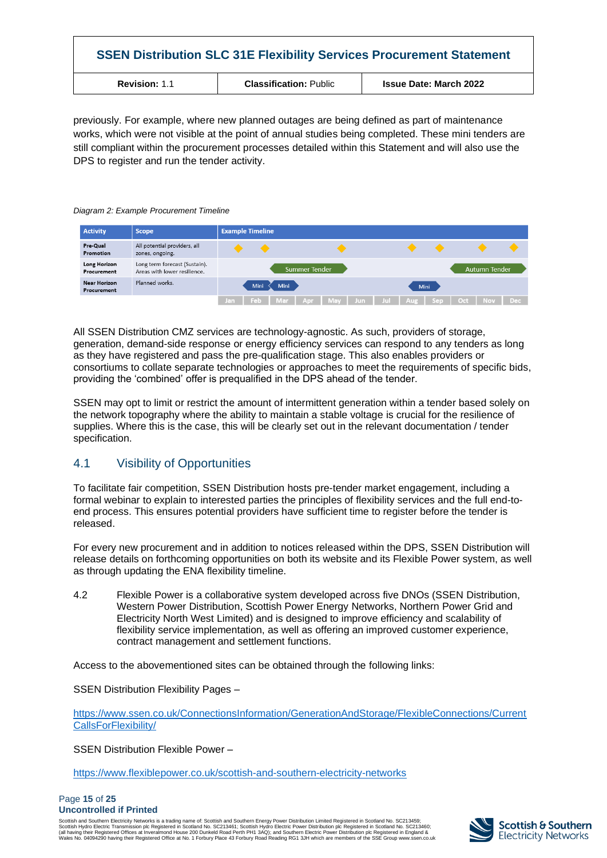| <b>SSEN Distribution SLC 31E Flexibility Services Procurement Statement</b> |                               |                               |  |  |  |  |  |
|-----------------------------------------------------------------------------|-------------------------------|-------------------------------|--|--|--|--|--|
| <b>Revision: 1.1</b>                                                        | <b>Classification: Public</b> | <b>Issue Date: March 2022</b> |  |  |  |  |  |

previously. For example, where new planned outages are being defined as part of maintenance works, which were not visible at the point of annual studies being completed. These mini tenders are still compliant within the procurement processes detailed within this Statement and will also use the DPS to register and run the tender activity.

#### *Diagram 2: Example Procurement Timeline*

| <b>Activity</b>             | <b>Scope</b>                                                  |     | <b>Example Timeline</b> |           |           |  |  |                 |      |     |                      |       |
|-----------------------------|---------------------------------------------------------------|-----|-------------------------|-----------|-----------|--|--|-----------------|------|-----|----------------------|-------|
| Pre-Qual<br>Promotion       | All potential providers, all<br>zones, ongoing.               |     |                         |           |           |  |  |                 |      |     |                      |       |
| Long Horizon<br>Procurement | Long term forecast (Sustain).<br>Areas with lower resilience. |     | <b>Summer Tender</b>    |           |           |  |  |                 |      |     | <b>Autumn Tender</b> |       |
| Near Horizon<br>Procurement | Planned works.                                                |     | Mini                    | Mini      |           |  |  |                 | Mini |     |                      |       |
|                             |                                                               | lan |                         | Feb   Mar | Apr   May |  |  | Jun Jul Aug Sep |      | Oct | <b>Nov</b>           | Dec - |

All SSEN Distribution CMZ services are technology-agnostic. As such, providers of storage, generation, demand-side response or energy efficiency services can respond to any tenders as long as they have registered and pass the pre-qualification stage. This also enables providers or consortiums to collate separate technologies or approaches to meet the requirements of specific bids, providing the 'combined' offer is prequalified in the DPS ahead of the tender.

SSEN may opt to limit or restrict the amount of intermittent generation within a tender based solely on the network topography where the ability to maintain a stable voltage is crucial for the resilience of supplies. Where this is the case, this will be clearly set out in the relevant documentation / tender specification.

## 4.1 Visibility of Opportunities

To facilitate fair competition, SSEN Distribution hosts pre-tender market engagement, including a formal webinar to explain to interested parties the principles of flexibility services and the full end-toend process. This ensures potential providers have sufficient time to register before the tender is released.

For every new procurement and in addition to notices released within the DPS, SSEN Distribution will release details on forthcoming opportunities on both its website and its Flexible Power system, as well as through updating the ENA flexibility timeline.

4.2 Flexible Power is a collaborative system developed across five DNOs (SSEN Distribution, Western Power Distribution, Scottish Power Energy Networks, Northern Power Grid and Electricity North West Limited) and is designed to improve efficiency and scalability of flexibility service implementation, as well as offering an improved customer experience, contract management and settlement functions.

Access to the abovementioned sites can be obtained through the following links:

SSEN Distribution Flexibility Pages –

[https://www.ssen.co.uk/ConnectionsInformation/GenerationAndStorage/FlexibleConnections/Current](https://www.ssen.co.uk/ConnectionsInformation/GenerationAndStorage/FlexibleConnections/CurrentCallsForFlexibility/) [CallsForFlexibility/](https://www.ssen.co.uk/ConnectionsInformation/GenerationAndStorage/FlexibleConnections/CurrentCallsForFlexibility/)

SSEN Distribution Flexible Power –

<https://www.flexiblepower.co.uk/scottish-and-southern-electricity-networks>

#### Page **15** of **25 Uncontrolled if Printed**

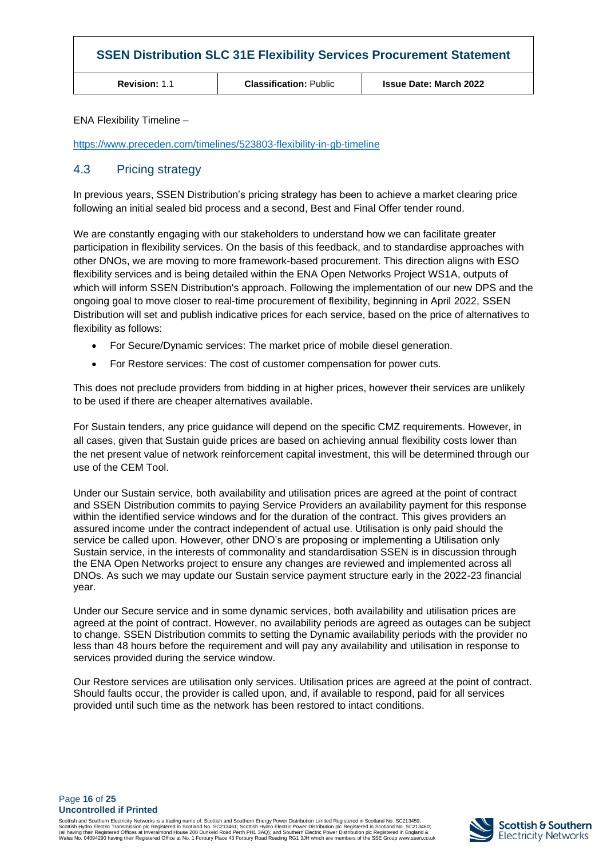| <b>SSEN Distribution SLC 31E Flexibility Services Procurement Statement</b> |                               |                               |  |
|-----------------------------------------------------------------------------|-------------------------------|-------------------------------|--|
| <b>Revision: 1.1</b>                                                        | <b>Classification: Public</b> | <b>Issue Date: March 2022</b> |  |

ENA Flexibility Timeline –

<https://www.preceden.com/timelines/523803-flexibility-in-gb-timeline>

#### 4.3 Pricing strategy

In previous years, SSEN Distribution's pricing strategy has been to achieve a market clearing price following an initial sealed bid process and a second, Best and Final Offer tender round.

We are constantly engaging with our stakeholders to understand how we can facilitate greater participation in flexibility services. On the basis of this feedback, and to standardise approaches with other DNOs, we are moving to more framework-based procurement. This direction aligns with ESO flexibility services and is being detailed within the ENA Open Networks Project WS1A, outputs of which will inform SSEN Distribution's approach. Following the implementation of our new DPS and the ongoing goal to move closer to real-time procurement of flexibility, beginning in April 2022, SSEN Distribution will set and publish indicative prices for each service, based on the price of alternatives to flexibility as follows:

- For Secure/Dynamic services: The market price of mobile diesel generation.
- For Restore services: The cost of customer compensation for power cuts.

This does not preclude providers from bidding in at higher prices, however their services are unlikely to be used if there are cheaper alternatives available.

For Sustain tenders, any price guidance will depend on the specific CMZ requirements. However, in all cases, given that Sustain guide prices are based on achieving annual flexibility costs lower than the net present value of network reinforcement capital investment, this will be determined through our use of the CEM Tool.

Under our Sustain service, both availability and utilisation prices are agreed at the point of contract and SSEN Distribution commits to paying Service Providers an availability payment for this response within the identified service windows and for the duration of the contract. This gives providers an assured income under the contract independent of actual use. Utilisation is only paid should the service be called upon. However, other DNO's are proposing or implementing a Utilisation only Sustain service, in the interests of commonality and standardisation SSEN is in discussion through the ENA Open Networks project to ensure any changes are reviewed and implemented across all DNOs. As such we may update our Sustain service payment structure early in the 2022-23 financial year.

Under our Secure service and in some dynamic services, both availability and utilisation prices are agreed at the point of contract. However, no availability periods are agreed as outages can be subject to change. SSEN Distribution commits to setting the Dynamic availability periods with the provider no less than 48 hours before the requirement and will pay any availability and utilisation in response to services provided during the service window.

Our Restore services are utilisation only services. Utilisation prices are agreed at the point of contract. Should faults occur, the provider is called upon, and, if available to respond, paid for all services provided until such time as the network has been restored to intact conditions.

Page **16** of **25 Uncontrolled if Printed**

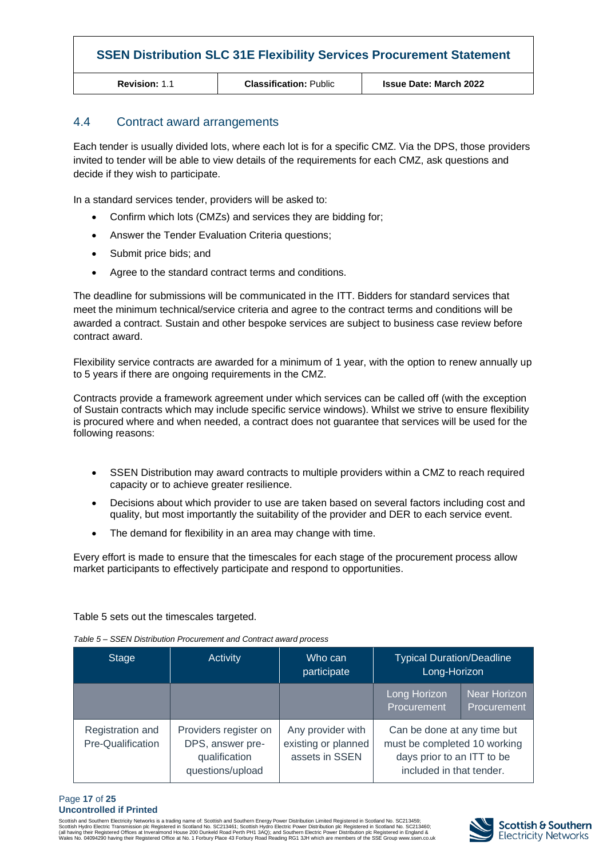**Revision:** 1.1 **Classification:** Public **Issue Date: March 2022**

#### 4.4 Contract award arrangements

Each tender is usually divided lots, where each lot is for a specific CMZ. Via the DPS, those providers invited to tender will be able to view details of the requirements for each CMZ, ask questions and decide if they wish to participate.

In a standard services tender, providers will be asked to:

- Confirm which lots (CMZs) and services they are bidding for;
- Answer the Tender Evaluation Criteria questions;
- Submit price bids; and
- Agree to the standard contract terms and conditions.

The deadline for submissions will be communicated in the ITT. Bidders for standard services that meet the minimum technical/service criteria and agree to the contract terms and conditions will be awarded a contract. Sustain and other bespoke services are subject to business case review before contract award.

Flexibility service contracts are awarded for a minimum of 1 year, with the option to renew annually up to 5 years if there are ongoing requirements in the CMZ.

Contracts provide a framework agreement under which services can be called off (with the exception of Sustain contracts which may include specific service windows). Whilst we strive to ensure flexibility is procured where and when needed, a contract does not guarantee that services will be used for the following reasons:

- SSEN Distribution may award contracts to multiple providers within a CMZ to reach required capacity or to achieve greater resilience.
- Decisions about which provider to use are taken based on several factors including cost and quality, but most importantly the suitability of the provider and DER to each service event.
- The demand for flexibility in an area may change with time.

Every effort is made to ensure that the timescales for each stage of the procurement process allow market participants to effectively participate and respond to opportunities.

Table 5 sets out the timescales targeted.

| <b>Stage</b>                          | Activity                                                                       | Who can<br>participate                                     | <b>Typical Duration/Deadline</b><br>Long-Horizon                                                                      |                                    |
|---------------------------------------|--------------------------------------------------------------------------------|------------------------------------------------------------|-----------------------------------------------------------------------------------------------------------------------|------------------------------------|
|                                       |                                                                                |                                                            | Long Horizon<br>Procurement                                                                                           | <b>Near Horizon</b><br>Procurement |
| Registration and<br>Pre-Qualification | Providers register on<br>DPS, answer pre-<br>qualification<br>questions/upload | Any provider with<br>existing or planned<br>assets in SSEN | Can be done at any time but<br>must be completed 10 working<br>days prior to an ITT to be<br>included in that tender. |                                    |

*Table 5 – SSEN Distribution Procurement and Contract award process*

#### Page **17** of **25 Uncontrolled if Printed**

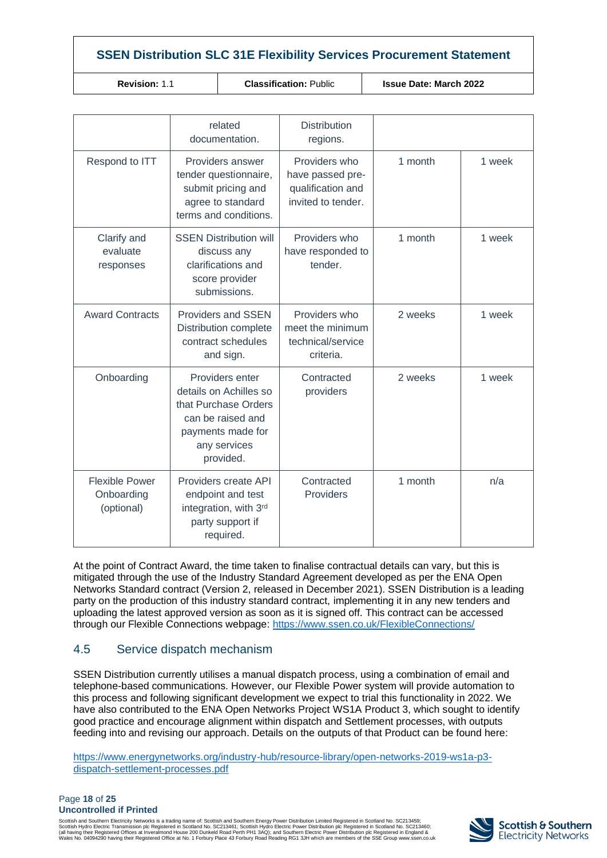**Classification:** Public **Integral Issue Date: March 2022** 

|                                                   | related<br>documentation.                                                                                                                | <b>Distribution</b><br>regions.                                              |         |        |
|---------------------------------------------------|------------------------------------------------------------------------------------------------------------------------------------------|------------------------------------------------------------------------------|---------|--------|
| Respond to ITT                                    | Providers answer<br>tender questionnaire,<br>submit pricing and<br>agree to standard<br>terms and conditions.                            | Providers who<br>have passed pre-<br>qualification and<br>invited to tender. | 1 month | 1 week |
| Clarify and<br>evaluate<br>responses              | <b>SSEN Distribution will</b><br>discuss any<br>clarifications and<br>score provider<br>submissions.                                     | Providers who<br>have responded to<br>tender.                                | 1 month | 1 week |
| <b>Award Contracts</b>                            | <b>Providers and SSEN</b><br>Distribution complete<br>contract schedules<br>and sign.                                                    | Providers who<br>meet the minimum<br>technical/service<br>criteria.          | 2 weeks | 1 week |
| Onboarding                                        | Providers enter<br>details on Achilles so<br>that Purchase Orders<br>can be raised and<br>payments made for<br>any services<br>provided. | Contracted<br>providers                                                      | 2 weeks | 1 week |
| <b>Flexible Power</b><br>Onboarding<br>(optional) | Providers create API<br>endpoint and test<br>integration, with 3rd<br>party support if<br>required.                                      | Contracted<br>Providers                                                      | 1 month | n/a    |

At the point of Contract Award, the time taken to finalise contractual details can vary, but this is mitigated through the use of the Industry Standard Agreement developed as per the ENA Open Networks Standard contract (Version 2, released in December 2021). SSEN Distribution is a leading party on the production of this industry standard contract, implementing it in any new tenders and uploading the latest approved version as soon as it is signed off. This contract can be accessed through our Flexible Connections webpage: <https://www.ssen.co.uk/FlexibleConnections/>

## 4.5 Service dispatch mechanism

SSEN Distribution currently utilises a manual dispatch process, using a combination of email and telephone-based communications. However, our Flexible Power system will provide automation to this process and following significant development we expect to trial this functionality in 2022. We have also contributed to the ENA Open Networks Project WS1A Product 3, which sought to identify good practice and encourage alignment within dispatch and Settlement processes, with outputs feeding into and revising our approach. Details on the outputs of that Product can be found here:

[https://www.energynetworks.org/industry-hub/resource-library/open-networks-2019-ws1a-p3](https://www.energynetworks.org/industry-hub/resource-library/open-networks-2019-ws1a-p3-dispatch-settlement-processes.pdf) [dispatch-settlement-processes.pdf](https://www.energynetworks.org/industry-hub/resource-library/open-networks-2019-ws1a-p3-dispatch-settlement-processes.pdf)

#### Page **18** of **25 Uncontrolled if Printed**

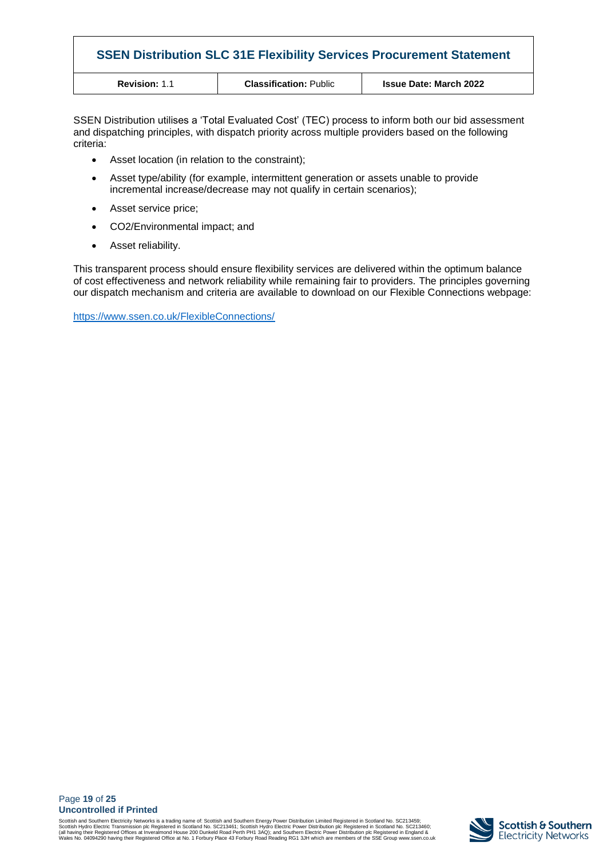| <b>SSEN Distribution SLC 31E Flexibility Services Procurement Statement</b> |                               |                               |
|-----------------------------------------------------------------------------|-------------------------------|-------------------------------|
| <b>Revision: 1.1</b>                                                        | <b>Classification: Public</b> | <b>Issue Date: March 2022</b> |

SSEN Distribution utilises a 'Total Evaluated Cost' (TEC) process to inform both our bid assessment and dispatching principles, with dispatch priority across multiple providers based on the following criteria:

- Asset location (in relation to the constraint);
- Asset type/ability (for example, intermittent generation or assets unable to provide incremental increase/decrease may not qualify in certain scenarios);
- Asset service price;
- CO2/Environmental impact; and
- Asset reliability.

This transparent process should ensure flexibility services are delivered within the optimum balance of cost effectiveness and network reliability while remaining fair to providers. The principles governing our dispatch mechanism and criteria are available to download on our Flexible Connections webpage:

<https://www.ssen.co.uk/FlexibleConnections/>

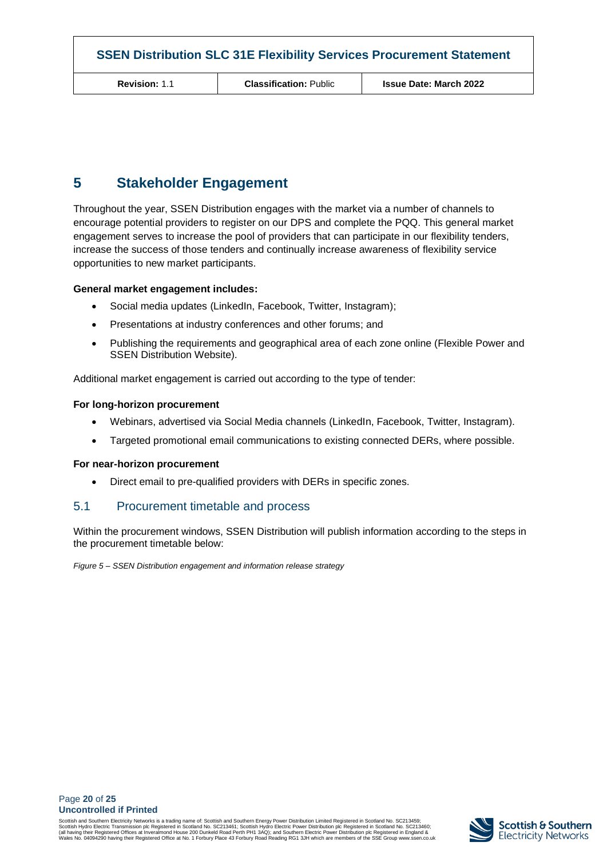## <span id="page-19-0"></span>**5 Stakeholder Engagement**

Throughout the year, SSEN Distribution engages with the market via a number of channels to encourage potential providers to register on our DPS and complete the PQQ. This general market engagement serves to increase the pool of providers that can participate in our flexibility tenders, increase the success of those tenders and continually increase awareness of flexibility service opportunities to new market participants.

#### **General market engagement includes:**

- Social media updates (LinkedIn, Facebook, Twitter, Instagram);
- Presentations at industry conferences and other forums; and
- Publishing the requirements and geographical area of each zone online (Flexible Power and SSEN Distribution Website).

Additional market engagement is carried out according to the type of tender:

#### **For long-horizon procurement**

- Webinars, advertised via Social Media channels (LinkedIn, Facebook, Twitter, Instagram).
- Targeted promotional email communications to existing connected DERs, where possible.

#### **For near-horizon procurement**

• Direct email to pre-qualified providers with DERs in specific zones.

#### 5.1 Procurement timetable and process

Within the procurement windows, SSEN Distribution will publish information according to the steps in the procurement timetable below:

*Figure 5 – SSEN Distribution engagement and information release strategy*

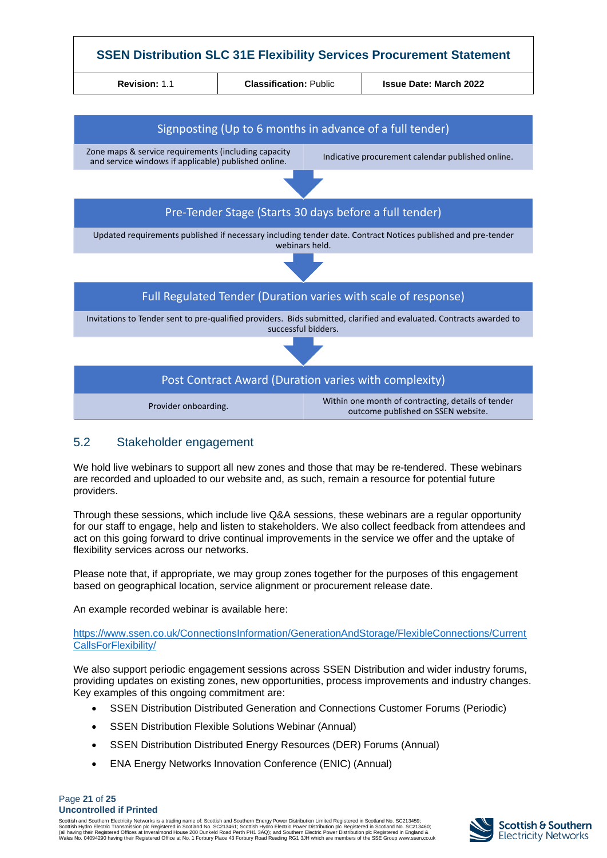

## 5.2 Stakeholder engagement

We hold live webinars to support all new zones and those that may be re-tendered. These webinars are recorded and uploaded to our website and, as such, remain a resource for potential future providers.

Through these sessions, which include live Q&A sessions, these webinars are a regular opportunity for our staff to engage, help and listen to stakeholders. We also collect feedback from attendees and act on this going forward to drive continual improvements in the service we offer and the uptake of flexibility services across our networks.

Please note that, if appropriate, we may group zones together for the purposes of this engagement based on geographical location, service alignment or procurement release date.

An example recorded webinar is available here:

[https://www.ssen.co.uk/ConnectionsInformation/GenerationAndStorage/FlexibleConnections/Current](https://www.ssen.co.uk/ConnectionsInformation/GenerationAndStorage/FlexibleConnections/CurrentCallsForFlexibility/) [CallsForFlexibility/](https://www.ssen.co.uk/ConnectionsInformation/GenerationAndStorage/FlexibleConnections/CurrentCallsForFlexibility/)

We also support periodic engagement sessions across SSEN Distribution and wider industry forums, providing updates on existing zones, new opportunities, process improvements and industry changes. Key examples of this ongoing commitment are:

- SSEN Distribution Distributed Generation and Connections Customer Forums (Periodic)
- SSEN Distribution Flexible Solutions Webinar (Annual)
- SSEN Distribution Distributed Energy Resources (DER) Forums (Annual)
- ENA Energy Networks Innovation Conference (ENIC) (Annual)

#### Page **21** of **25 Uncontrolled if Printed**

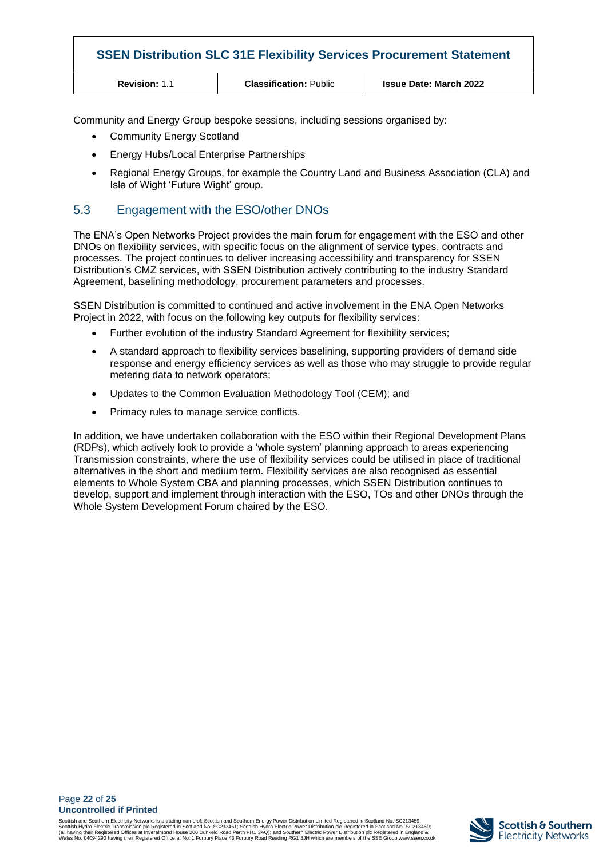| <b>SSEN Distribution SLC 31E Flexibility Services Procurement Statement</b> |                               |                               |
|-----------------------------------------------------------------------------|-------------------------------|-------------------------------|
| <b>Revision: 1.1</b>                                                        | <b>Classification: Public</b> | <b>Issue Date: March 2022</b> |

Community and Energy Group bespoke sessions, including sessions organised by:

- Community Energy Scotland
- Energy Hubs/Local Enterprise Partnerships
- Regional Energy Groups, for example the Country Land and Business Association (CLA) and Isle of Wight 'Future Wight' group.

## 5.3 Engagement with the ESO/other DNOs

The ENA's Open Networks Project provides the main forum for engagement with the ESO and other DNOs on flexibility services, with specific focus on the alignment of service types, contracts and processes. The project continues to deliver increasing accessibility and transparency for SSEN Distribution's CMZ services, with SSEN Distribution actively contributing to the industry Standard Agreement, baselining methodology, procurement parameters and processes.

SSEN Distribution is committed to continued and active involvement in the ENA Open Networks Project in 2022, with focus on the following key outputs for flexibility services:

- Further evolution of the industry Standard Agreement for flexibility services;
- A standard approach to flexibility services baselining, supporting providers of demand side response and energy efficiency services as well as those who may struggle to provide regular metering data to network operators;
- Updates to the Common Evaluation Methodology Tool (CEM); and
- Primacy rules to manage service conflicts.

In addition, we have undertaken collaboration with the ESO within their Regional Development Plans (RDPs), which actively look to provide a 'whole system' planning approach to areas experiencing Transmission constraints, where the use of flexibility services could be utilised in place of traditional alternatives in the short and medium term. Flexibility services are also recognised as essential elements to Whole System CBA and planning processes, which SSEN Distribution continues to develop, support and implement through interaction with the ESO, TOs and other DNOs through the Whole System Development Forum chaired by the ESO.

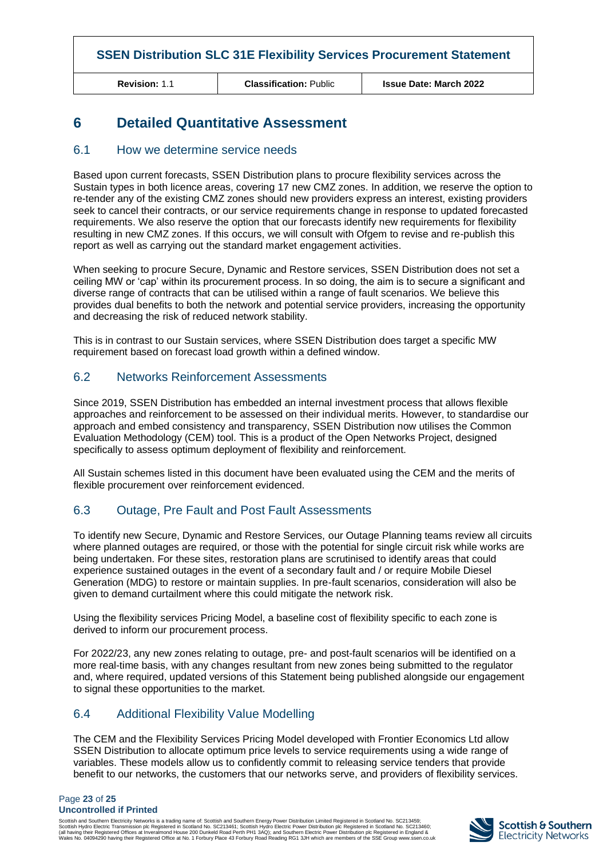**Revision:** 1.1 **Classification:** Public **Issue Date: March 2022**

## <span id="page-22-0"></span>**6 Detailed Quantitative Assessment**

#### 6.1 How we determine service needs

Based upon current forecasts, SSEN Distribution plans to procure flexibility services across the Sustain types in both licence areas, covering 17 new CMZ zones. In addition, we reserve the option to re-tender any of the existing CMZ zones should new providers express an interest, existing providers seek to cancel their contracts, or our service requirements change in response to updated forecasted requirements. We also reserve the option that our forecasts identify new requirements for flexibility resulting in new CMZ zones. If this occurs, we will consult with Ofgem to revise and re-publish this report as well as carrying out the standard market engagement activities.

When seeking to procure Secure, Dynamic and Restore services, SSEN Distribution does not set a ceiling MW or 'cap' within its procurement process. In so doing, the aim is to secure a significant and diverse range of contracts that can be utilised within a range of fault scenarios. We believe this provides dual benefits to both the network and potential service providers, increasing the opportunity and decreasing the risk of reduced network stability.

This is in contrast to our Sustain services, where SSEN Distribution does target a specific MW requirement based on forecast load growth within a defined window.

#### 6.2 Networks Reinforcement Assessments

Since 2019, SSEN Distribution has embedded an internal investment process that allows flexible approaches and reinforcement to be assessed on their individual merits. However, to standardise our approach and embed consistency and transparency, SSEN Distribution now utilises the Common Evaluation Methodology (CEM) tool. This is a product of the Open Networks Project, designed specifically to assess optimum deployment of flexibility and reinforcement.

All Sustain schemes listed in this document have been evaluated using the CEM and the merits of flexible procurement over reinforcement evidenced.

## 6.3 Outage, Pre Fault and Post Fault Assessments

To identify new Secure, Dynamic and Restore Services, our Outage Planning teams review all circuits where planned outages are required, or those with the potential for single circuit risk while works are being undertaken. For these sites, restoration plans are scrutinised to identify areas that could experience sustained outages in the event of a secondary fault and / or require Mobile Diesel Generation (MDG) to restore or maintain supplies. In pre-fault scenarios, consideration will also be given to demand curtailment where this could mitigate the network risk.

Using the flexibility services Pricing Model, a baseline cost of flexibility specific to each zone is derived to inform our procurement process.

For 2022/23, any new zones relating to outage, pre- and post-fault scenarios will be identified on a more real-time basis, with any changes resultant from new zones being submitted to the regulator and, where required, updated versions of this Statement being published alongside our engagement to signal these opportunities to the market.

## 6.4 Additional Flexibility Value Modelling

The CEM and the Flexibility Services Pricing Model developed with Frontier Economics Ltd allow SSEN Distribution to allocate optimum price levels to service requirements using a wide range of variables. These models allow us to confidently commit to releasing service tenders that provide benefit to our networks, the customers that our networks serve, and providers of flexibility services.

#### Page **23** of **25 Uncontrolled if Printed**

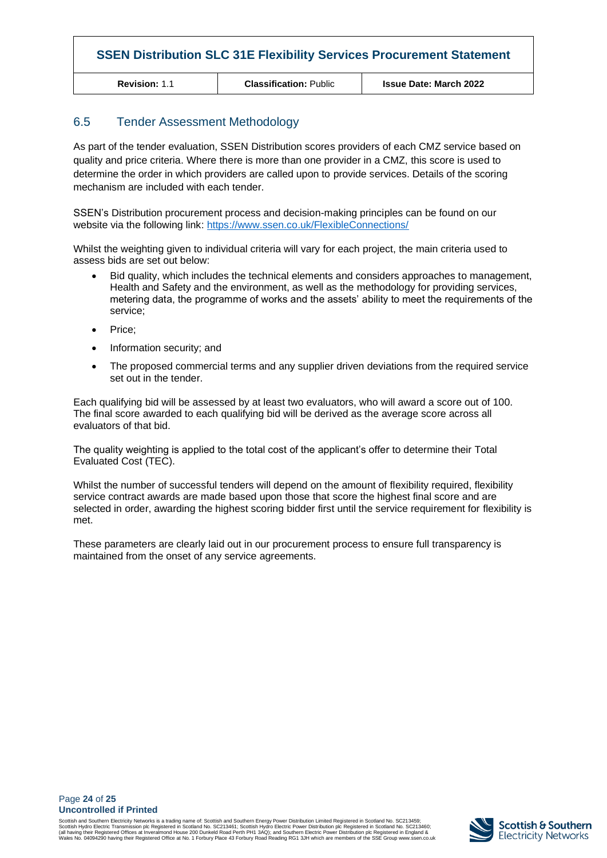**Revision:** 1.1 **Classification:** Public **Issue Date: March 2022**

## 6.5 Tender Assessment Methodology

As part of the tender evaluation, SSEN Distribution scores providers of each CMZ service based on quality and price criteria. Where there is more than one provider in a CMZ, this score is used to determine the order in which providers are called upon to provide services. Details of the scoring mechanism are included with each tender.

SSEN's Distribution procurement process and decision-making principles can be found on our website via the following link: <https://www.ssen.co.uk/FlexibleConnections/>

Whilst the weighting given to individual criteria will vary for each project, the main criteria used to assess bids are set out below:

- Bid quality, which includes the technical elements and considers approaches to management, Health and Safety and the environment, as well as the methodology for providing services, metering data, the programme of works and the assets' ability to meet the requirements of the service;
- Price;
- Information security; and
- The proposed commercial terms and any supplier driven deviations from the required service set out in the tender.

Each qualifying bid will be assessed by at least two evaluators, who will award a score out of 100. The final score awarded to each qualifying bid will be derived as the average score across all evaluators of that bid.

The quality weighting is applied to the total cost of the applicant's offer to determine their Total Evaluated Cost (TEC).

Whilst the number of successful tenders will depend on the amount of flexibility required, flexibility service contract awards are made based upon those that score the highest final score and are selected in order, awarding the highest scoring bidder first until the service requirement for flexibility is met.

These parameters are clearly laid out in our procurement process to ensure full transparency is maintained from the onset of any service agreements.